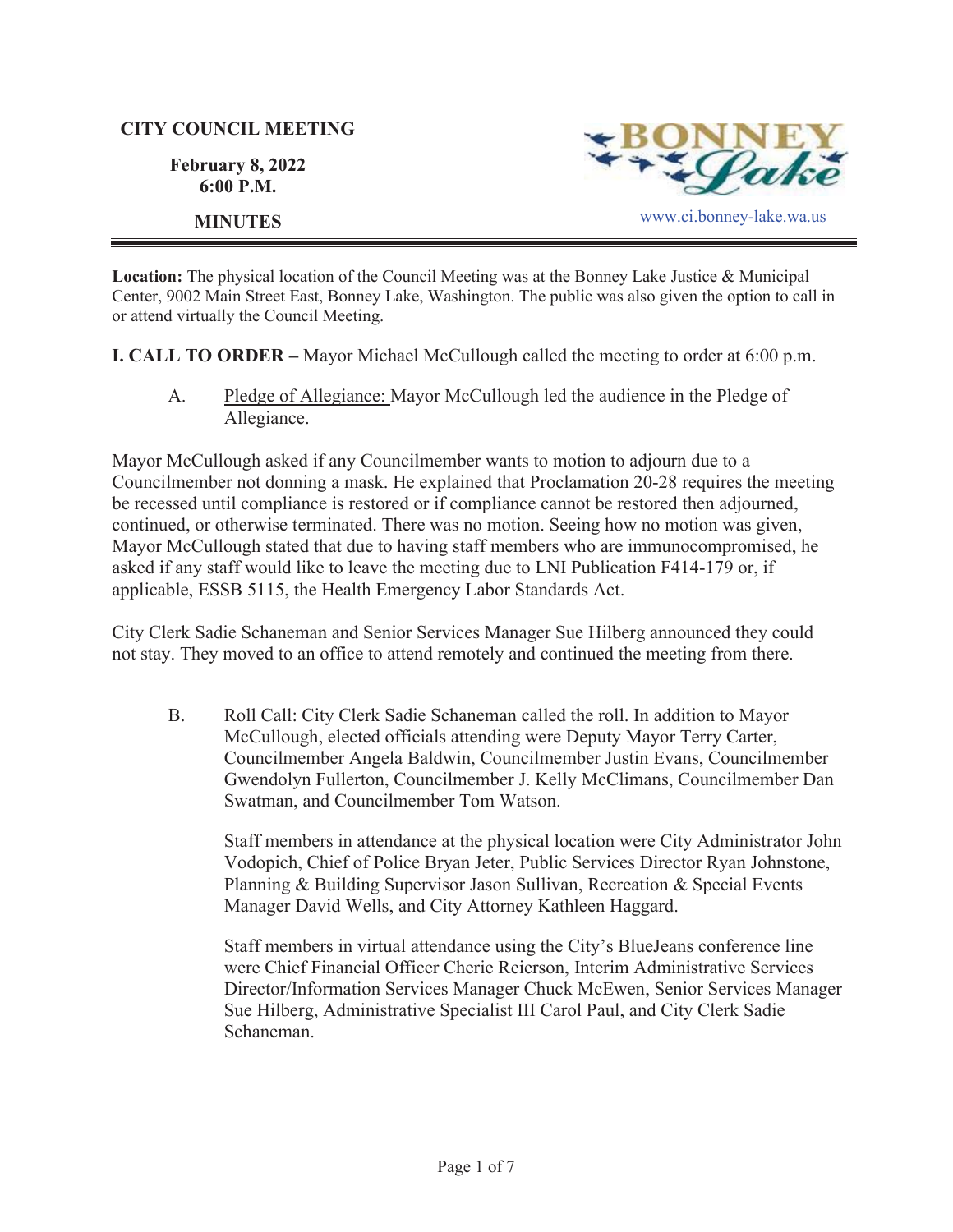#### **CITY COUNCIL MEETING**

**February 8, 2022 6:00 P.M.** 



**Location:** The physical location of the Council Meeting was at the Bonney Lake Justice & Municipal Center, 9002 Main Street East, Bonney Lake, Washington. The public was also given the option to call in or attend virtually the Council Meeting.

**I. CALL TO ORDER –** Mayor Michael McCullough called the meeting to order at 6:00 p.m.

A. Pledge of Allegiance: Mayor McCullough led the audience in the Pledge of Allegiance.

Mayor McCullough asked if any Councilmember wants to motion to adjourn due to a Councilmember not donning a mask. He explained that Proclamation 20-28 requires the meeting be recessed until compliance is restored or if compliance cannot be restored then adjourned, continued, or otherwise terminated. There was no motion. Seeing how no motion was given, Mayor McCullough stated that due to having staff members who are immunocompromised, he asked if any staff would like to leave the meeting due to LNI Publication F414-179 or, if applicable, ESSB 5115, the Health Emergency Labor Standards Act.

City Clerk Sadie Schaneman and Senior Services Manager Sue Hilberg announced they could not stay. They moved to an office to attend remotely and continued the meeting from there.

B. Roll Call: City Clerk Sadie Schaneman called the roll. In addition to Mayor McCullough, elected officials attending were Deputy Mayor Terry Carter, Councilmember Angela Baldwin, Councilmember Justin Evans, Councilmember Gwendolyn Fullerton, Councilmember J. Kelly McClimans, Councilmember Dan Swatman, and Councilmember Tom Watson.

Staff members in attendance at the physical location were City Administrator John Vodopich, Chief of Police Bryan Jeter, Public Services Director Ryan Johnstone, Planning & Building Supervisor Jason Sullivan, Recreation & Special Events Manager David Wells, and City Attorney Kathleen Haggard.

Staff members in virtual attendance using the City's BlueJeans conference line were Chief Financial Officer Cherie Reierson, Interim Administrative Services Director/Information Services Manager Chuck McEwen, Senior Services Manager Sue Hilberg, Administrative Specialist III Carol Paul, and City Clerk Sadie Schaneman.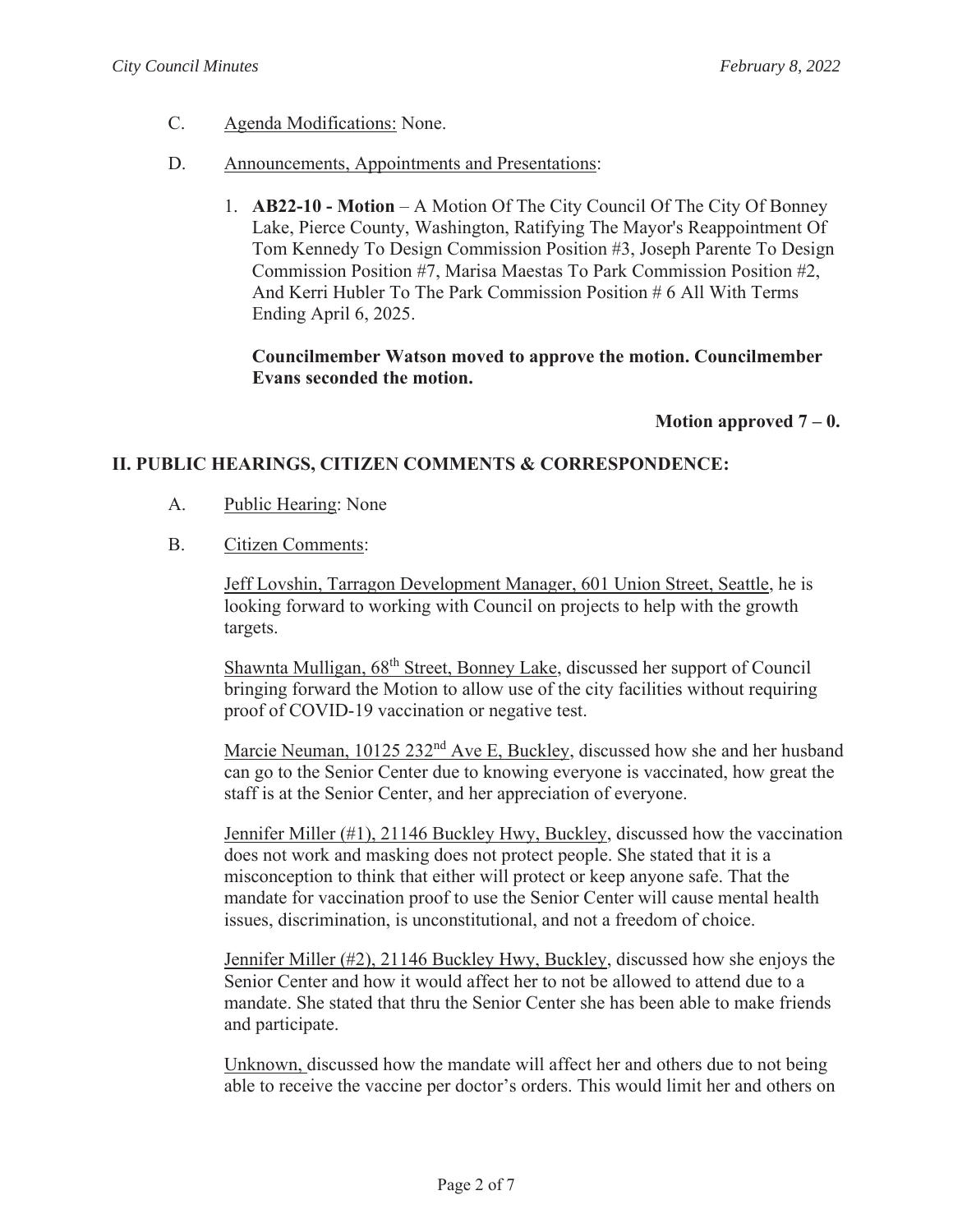- C. Agenda Modifications: None.
- D. Announcements, Appointments and Presentations:
	- 1. **AB22-10 Motion** A Motion Of The City Council Of The City Of Bonney Lake, Pierce County, Washington, Ratifying The Mayor's Reappointment Of Tom Kennedy To Design Commission Position #3, Joseph Parente To Design Commission Position #7, Marisa Maestas To Park Commission Position #2, And Kerri Hubler To The Park Commission Position # 6 All With Terms Ending April 6, 2025.

**Councilmember Watson moved to approve the motion. Councilmember Evans seconded the motion.** 

**Motion approved**  $7 - 0$ **.** 

# **II. PUBLIC HEARINGS, CITIZEN COMMENTS & CORRESPONDENCE:**

- A. Public Hearing: None
- B. Citizen Comments:

Jeff Lovshin, Tarragon Development Manager, 601 Union Street, Seattle, he is looking forward to working with Council on projects to help with the growth targets.

Shawnta Mulligan, 68th Street, Bonney Lake, discussed her support of Council bringing forward the Motion to allow use of the city facilities without requiring proof of COVID-19 vaccination or negative test.

Marcie Neuman, 10125 232<sup>nd</sup> Ave E, Buckley, discussed how she and her husband can go to the Senior Center due to knowing everyone is vaccinated, how great the staff is at the Senior Center, and her appreciation of everyone.

Jennifer Miller (#1), 21146 Buckley Hwy, Buckley, discussed how the vaccination does not work and masking does not protect people. She stated that it is a misconception to think that either will protect or keep anyone safe. That the mandate for vaccination proof to use the Senior Center will cause mental health issues, discrimination, is unconstitutional, and not a freedom of choice.

Jennifer Miller (#2), 21146 Buckley Hwy, Buckley, discussed how she enjoys the Senior Center and how it would affect her to not be allowed to attend due to a mandate. She stated that thru the Senior Center she has been able to make friends and participate.

Unknown, discussed how the mandate will affect her and others due to not being able to receive the vaccine per doctor's orders. This would limit her and others on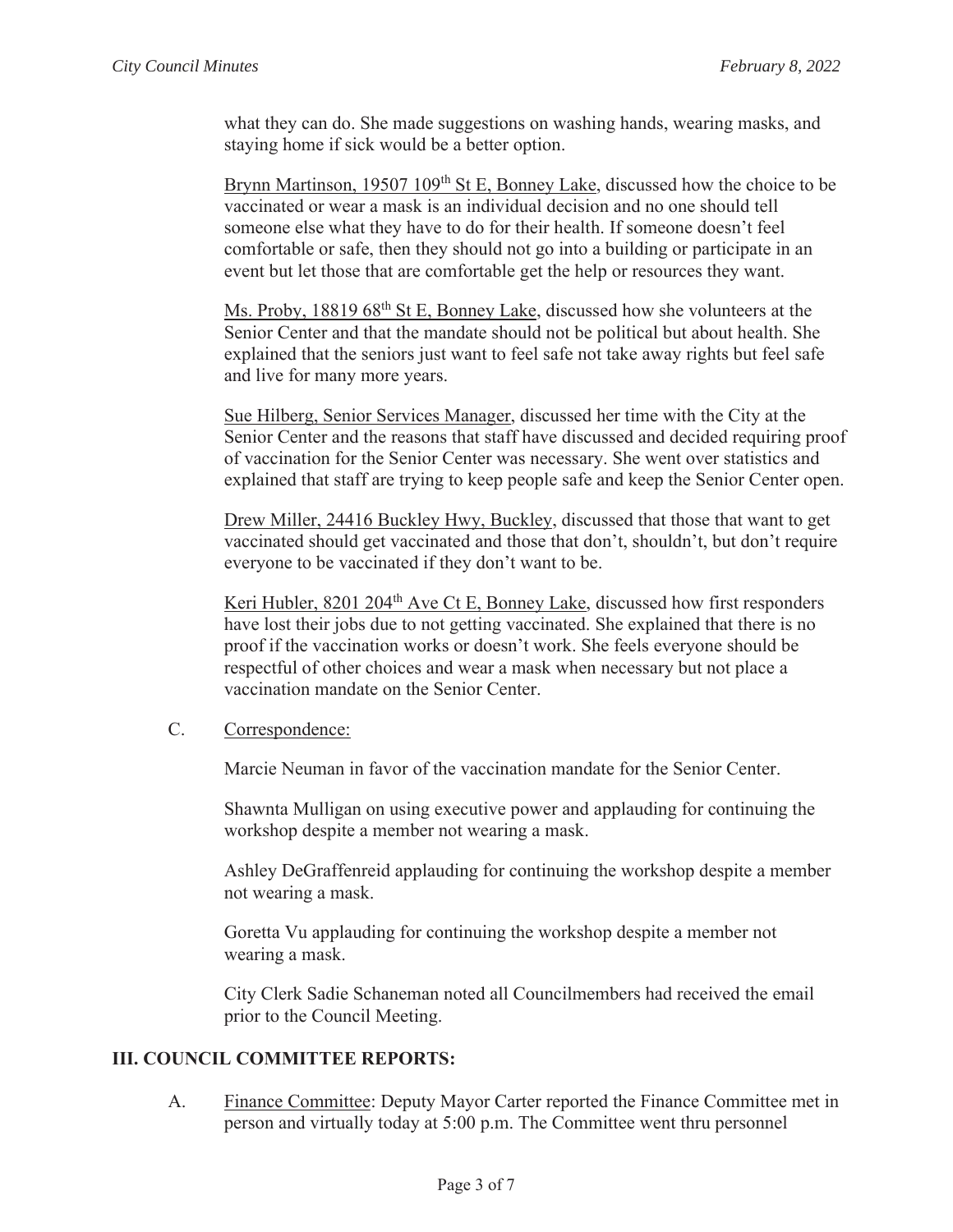what they can do. She made suggestions on washing hands, wearing masks, and staying home if sick would be a better option.

Brynn Martinson, 19507 109<sup>th</sup> St E, Bonney Lake, discussed how the choice to be vaccinated or wear a mask is an individual decision and no one should tell someone else what they have to do for their health. If someone doesn't feel comfortable or safe, then they should not go into a building or participate in an event but let those that are comfortable get the help or resources they want.

Ms. Proby, 18819 68<sup>th</sup> St E, Bonney Lake, discussed how she volunteers at the Senior Center and that the mandate should not be political but about health. She explained that the seniors just want to feel safe not take away rights but feel safe and live for many more years.

Sue Hilberg, Senior Services Manager, discussed her time with the City at the Senior Center and the reasons that staff have discussed and decided requiring proof of vaccination for the Senior Center was necessary. She went over statistics and explained that staff are trying to keep people safe and keep the Senior Center open.

Drew Miller, 24416 Buckley Hwy, Buckley, discussed that those that want to get vaccinated should get vaccinated and those that don't, shouldn't, but don't require everyone to be vaccinated if they don't want to be.

Keri Hubler, 8201 204<sup>th</sup> Ave Ct E, Bonney Lake, discussed how first responders have lost their jobs due to not getting vaccinated. She explained that there is no proof if the vaccination works or doesn't work. She feels everyone should be respectful of other choices and wear a mask when necessary but not place a vaccination mandate on the Senior Center.

### C. Correspondence:

Marcie Neuman in favor of the vaccination mandate for the Senior Center.

Shawnta Mulligan on using executive power and applauding for continuing the workshop despite a member not wearing a mask.

Ashley DeGraffenreid applauding for continuing the workshop despite a member not wearing a mask.

Goretta Vu applauding for continuing the workshop despite a member not wearing a mask.

City Clerk Sadie Schaneman noted all Councilmembers had received the email prior to the Council Meeting.

### **III. COUNCIL COMMITTEE REPORTS:**

A. Finance Committee: Deputy Mayor Carter reported the Finance Committee met in person and virtually today at 5:00 p.m. The Committee went thru personnel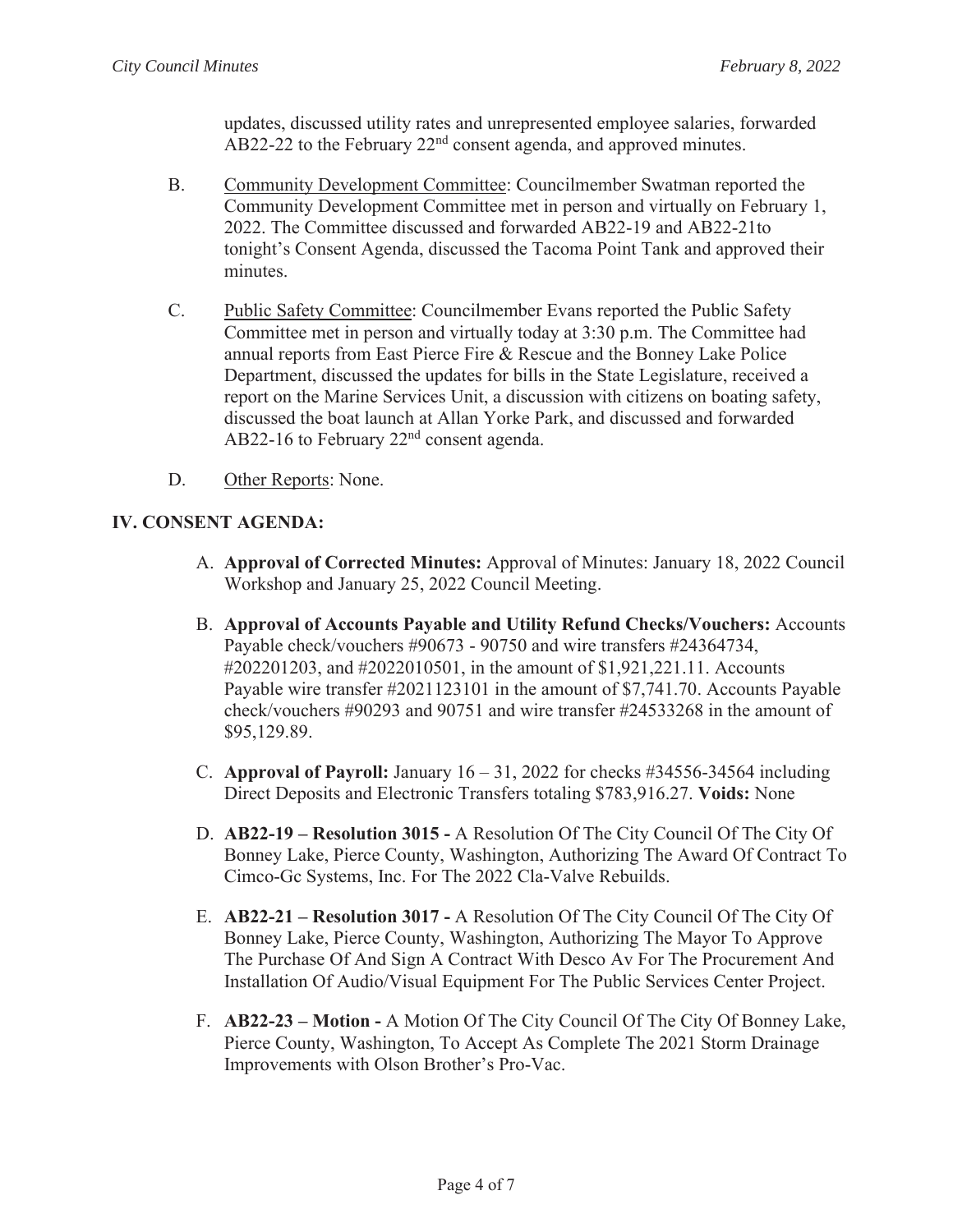updates, discussed utility rates and unrepresented employee salaries, forwarded  $\overrightarrow{AB22-22}$  to the February  $22<sup>nd</sup>$  consent agenda, and approved minutes.

- B. Community Development Committee: Councilmember Swatman reported the Community Development Committee met in person and virtually on February 1, 2022. The Committee discussed and forwarded AB22-19 and AB22-21to tonight's Consent Agenda, discussed the Tacoma Point Tank and approved their minutes.
- C. Public Safety Committee: Councilmember Evans reported the Public Safety Committee met in person and virtually today at 3:30 p.m. The Committee had annual reports from East Pierce Fire & Rescue and the Bonney Lake Police Department, discussed the updates for bills in the State Legislature, received a report on the Marine Services Unit, a discussion with citizens on boating safety, discussed the boat launch at Allan Yorke Park, and discussed and forwarded AB22-16 to February  $22<sup>nd</sup>$  consent agenda.
- D. Other Reports: None.

# **IV. CONSENT AGENDA:**

- A. **Approval of Corrected Minutes:** Approval of Minutes: January 18, 2022 Council Workshop and January 25, 2022 Council Meeting.
- B. **Approval of Accounts Payable and Utility Refund Checks/Vouchers:** Accounts Payable check/vouchers #90673 - 90750 and wire transfers #24364734, #202201203, and #2022010501, in the amount of \$1,921,221.11. Accounts Payable wire transfer #2021123101 in the amount of \$7,741.70. Accounts Payable check/vouchers #90293 and 90751 and wire transfer #24533268 in the amount of \$95,129.89.
- C. **Approval of Payroll:** January 16 31, 2022 for checks #34556-34564 including Direct Deposits and Electronic Transfers totaling \$783,916.27. **Voids:** None
- D. **AB22-19 – Resolution 3015 -** A Resolution Of The City Council Of The City Of Bonney Lake, Pierce County, Washington, Authorizing The Award Of Contract To Cimco-Gc Systems, Inc. For The 2022 Cla-Valve Rebuilds.
- E. **AB22-21 – Resolution 3017 -** A Resolution Of The City Council Of The City Of Bonney Lake, Pierce County, Washington, Authorizing The Mayor To Approve The Purchase Of And Sign A Contract With Desco Av For The Procurement And Installation Of Audio/Visual Equipment For The Public Services Center Project.
- F. **AB22-23 – Motion -** A Motion Of The City Council Of The City Of Bonney Lake, Pierce County, Washington, To Accept As Complete The 2021 Storm Drainage Improvements with Olson Brother's Pro-Vac.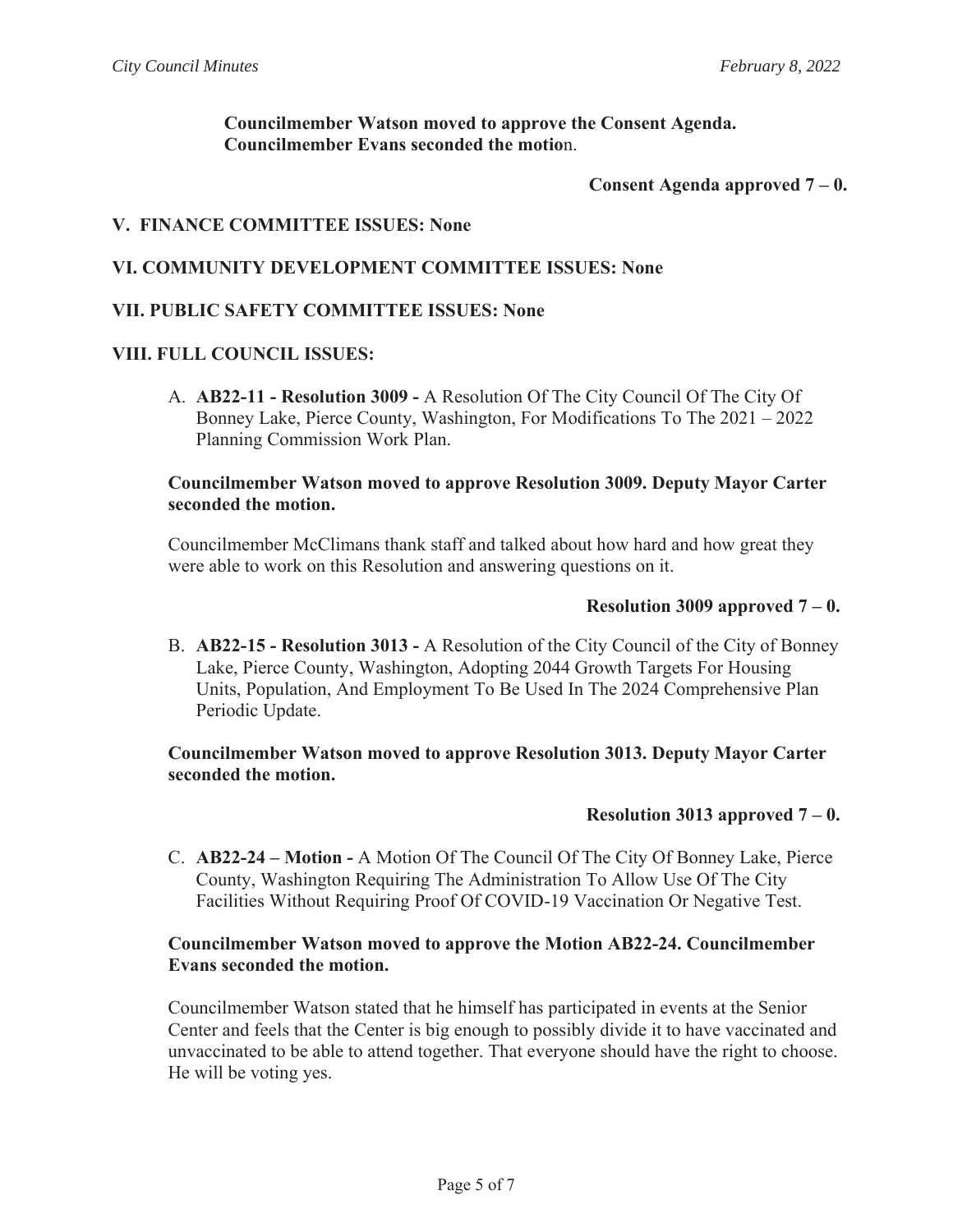**Councilmember Watson moved to approve the Consent Agenda. Councilmember Evans seconded the motio**n.

**Consent Agenda approved 7 – 0.** 

## **V. FINANCE COMMITTEE ISSUES: None**

### **VI. COMMUNITY DEVELOPMENT COMMITTEE ISSUES: None**

### **VII. PUBLIC SAFETY COMMITTEE ISSUES: None**

### **VIII. FULL COUNCIL ISSUES:**

A. **AB22-11 - Resolution 3009 -** A Resolution Of The City Council Of The City Of Bonney Lake, Pierce County, Washington, For Modifications To The 2021 – 2022 Planning Commission Work Plan.

#### **Councilmember Watson moved to approve Resolution 3009. Deputy Mayor Carter seconded the motion.**

Councilmember McClimans thank staff and talked about how hard and how great they were able to work on this Resolution and answering questions on it.

#### **Resolution 3009 approved**  $7 - 0$ **.**

B. **AB22-15 - Resolution 3013 -** A Resolution of the City Council of the City of Bonney Lake, Pierce County, Washington, Adopting 2044 Growth Targets For Housing Units, Population, And Employment To Be Used In The 2024 Comprehensive Plan Periodic Update.

### **Councilmember Watson moved to approve Resolution 3013. Deputy Mayor Carter seconded the motion.**

### **Resolution 3013 approved**  $7 - 0$ **.**

C. **AB22-24 – Motion -** A Motion Of The Council Of The City Of Bonney Lake, Pierce County, Washington Requiring The Administration To Allow Use Of The City Facilities Without Requiring Proof Of COVID-19 Vaccination Or Negative Test.

## **Councilmember Watson moved to approve the Motion AB22-24. Councilmember Evans seconded the motion.**

Councilmember Watson stated that he himself has participated in events at the Senior Center and feels that the Center is big enough to possibly divide it to have vaccinated and unvaccinated to be able to attend together. That everyone should have the right to choose. He will be voting yes.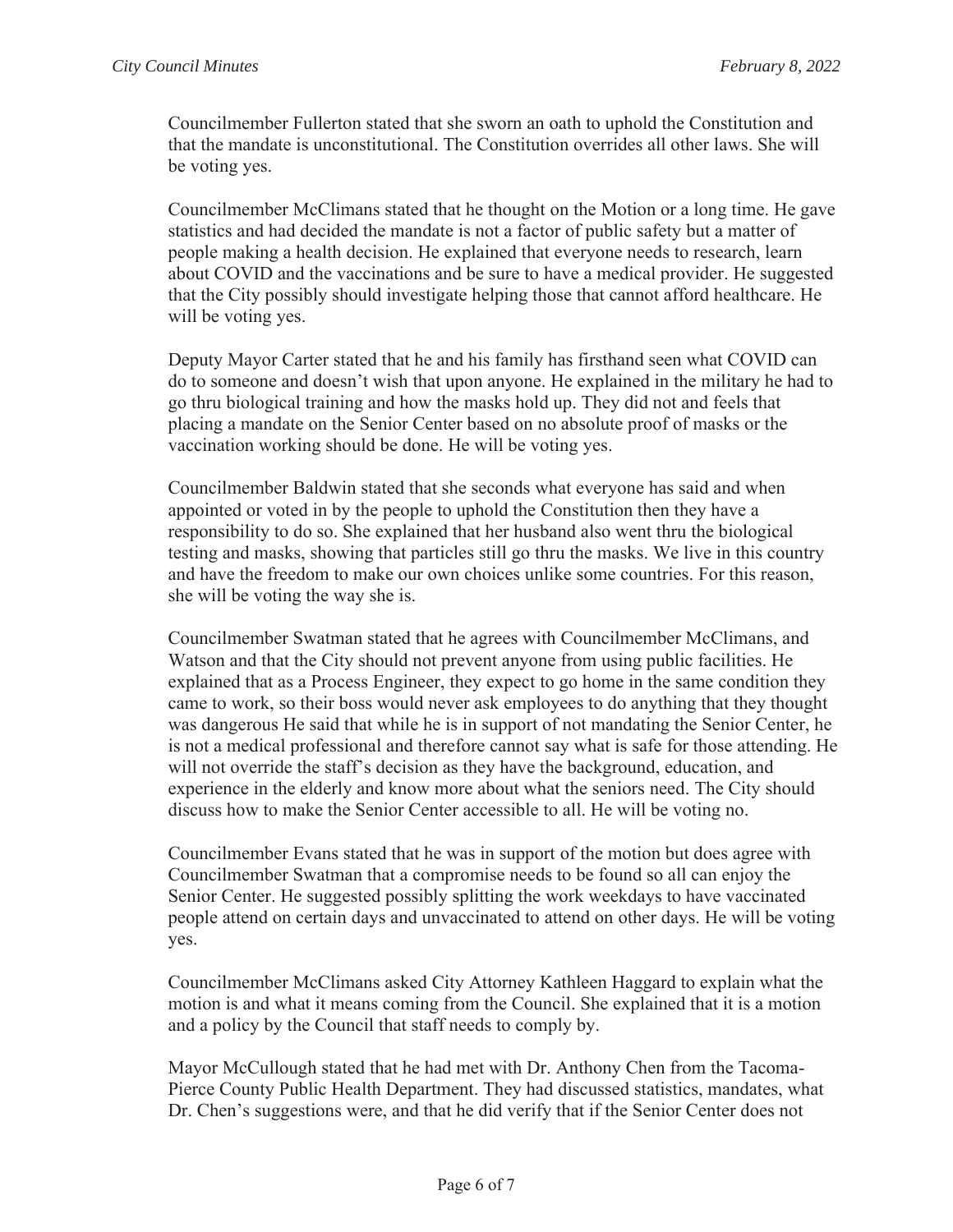Councilmember Fullerton stated that she sworn an oath to uphold the Constitution and that the mandate is unconstitutional. The Constitution overrides all other laws. She will be voting yes.

Councilmember McClimans stated that he thought on the Motion or a long time. He gave statistics and had decided the mandate is not a factor of public safety but a matter of people making a health decision. He explained that everyone needs to research, learn about COVID and the vaccinations and be sure to have a medical provider. He suggested that the City possibly should investigate helping those that cannot afford healthcare. He will be voting yes.

Deputy Mayor Carter stated that he and his family has firsthand seen what COVID can do to someone and doesn't wish that upon anyone. He explained in the military he had to go thru biological training and how the masks hold up. They did not and feels that placing a mandate on the Senior Center based on no absolute proof of masks or the vaccination working should be done. He will be voting yes.

Councilmember Baldwin stated that she seconds what everyone has said and when appointed or voted in by the people to uphold the Constitution then they have a responsibility to do so. She explained that her husband also went thru the biological testing and masks, showing that particles still go thru the masks. We live in this country and have the freedom to make our own choices unlike some countries. For this reason, she will be voting the way she is.

Councilmember Swatman stated that he agrees with Councilmember McClimans, and Watson and that the City should not prevent anyone from using public facilities. He explained that as a Process Engineer, they expect to go home in the same condition they came to work, so their boss would never ask employees to do anything that they thought was dangerous He said that while he is in support of not mandating the Senior Center, he is not a medical professional and therefore cannot say what is safe for those attending. He will not override the staff's decision as they have the background, education, and experience in the elderly and know more about what the seniors need. The City should discuss how to make the Senior Center accessible to all. He will be voting no.

Councilmember Evans stated that he was in support of the motion but does agree with Councilmember Swatman that a compromise needs to be found so all can enjoy the Senior Center. He suggested possibly splitting the work weekdays to have vaccinated people attend on certain days and unvaccinated to attend on other days. He will be voting yes.

Councilmember McClimans asked City Attorney Kathleen Haggard to explain what the motion is and what it means coming from the Council. She explained that it is a motion and a policy by the Council that staff needs to comply by.

Mayor McCullough stated that he had met with Dr. Anthony Chen from the Tacoma-Pierce County Public Health Department. They had discussed statistics, mandates, what Dr. Chen's suggestions were, and that he did verify that if the Senior Center does not